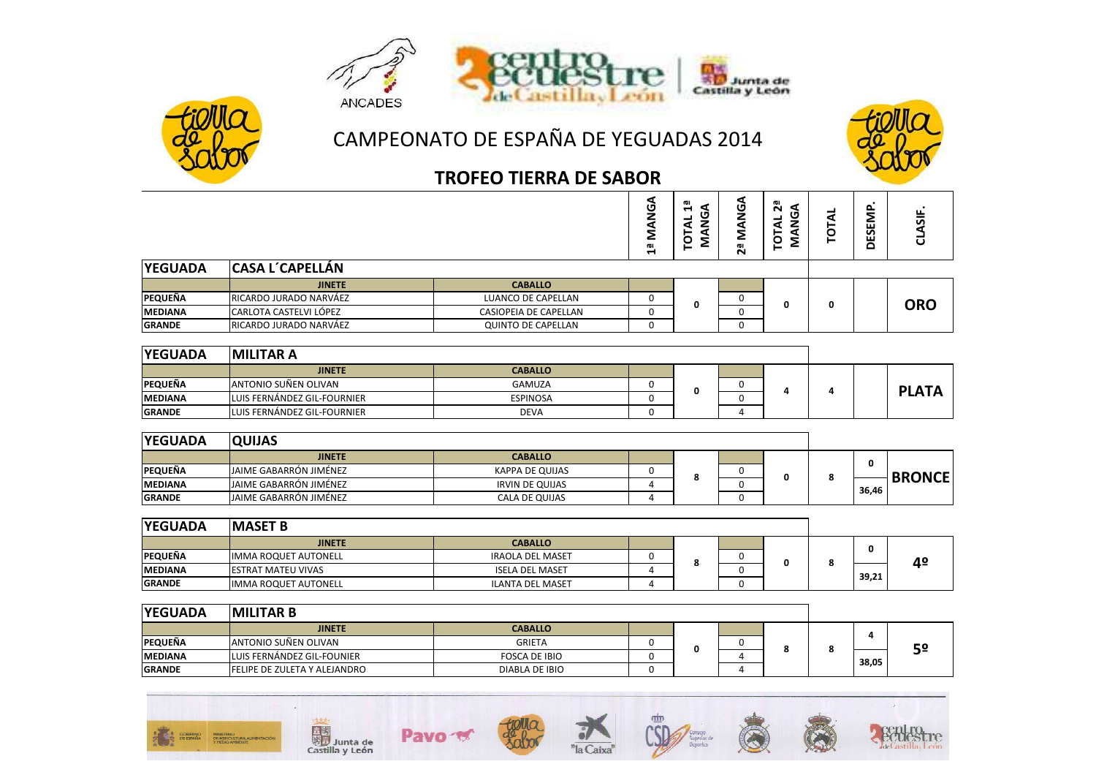



**GRANDE** FELIPE DE ZULETA Y ALEJANDRO

## CAMPEONATO DE ESPAÑA DE YEGUADAS 2014



**38,05**

## **TROFEO TIERRA DE SABOR**

|                |                             |                              | <b>1ª MANGA</b> | $\mathbf{u}$<br>MANGA<br>TOTAL | 2ª MANGA         | TOTAL <sub>2ª</sub><br>MANGA | <b>TOTAL</b> | DESEMP. | CLASIF.       |
|----------------|-----------------------------|------------------------------|-----------------|--------------------------------|------------------|------------------------------|--------------|---------|---------------|
| <b>YEGUADA</b> | <b>CASA L'CAPELLÁN</b>      |                              |                 |                                |                  |                              |              |         |               |
|                | <b>JINETE</b>               | <b>CABALLO</b>               |                 |                                |                  |                              |              |         |               |
| <b>PEQUEÑA</b> | RICARDO JURADO NARVÁEZ      | <b>LUANCO DE CAPELLAN</b>    | $\mathbf{0}$    | 0                              | 0                | 0                            | 0            |         |               |
| <b>MEDIANA</b> | CARLOTA CASTELVI LÓPEZ      | <b>CASIOPEIA DE CAPELLAN</b> | $\mathbf 0$     |                                | 0                |                              |              |         | <b>ORO</b>    |
| <b>GRANDE</b>  | RICARDO JURADO NARVÁEZ      | <b>QUINTO DE CAPELLAN</b>    | $\Omega$        |                                | $\Omega$         |                              |              |         |               |
| <b>YEGUADA</b> | <b>MILITAR A</b>            |                              |                 |                                |                  |                              |              |         |               |
|                | <b>JINETE</b>               | <b>CABALLO</b>               |                 |                                |                  |                              |              |         |               |
| <b>PEQUEÑA</b> | <b>ANTONIO SUÑEN OLIVAN</b> | <b>GAMUZA</b>                | $\bf{0}$        | $\mathbf 0$                    | 0                | 4                            | 4            |         | <b>PLATA</b>  |
| <b>MEDIANA</b> | LUIS FERNÁNDEZ GIL-FOURNIER | <b>ESPINOSA</b>              | $\mathbf 0$     |                                | 0                |                              |              |         |               |
| <b>GRANDE</b>  | LUIS FERNÁNDEZ GIL-FOURNIER | <b>DEVA</b>                  | $\mathbf 0$     |                                | 4                |                              |              |         |               |
| <b>YEGUADA</b> | <b>QUIJAS</b>               |                              |                 |                                |                  |                              |              |         |               |
|                | <b>JINETE</b>               | <b>CABALLO</b>               |                 |                                |                  |                              |              | 0       |               |
| <b>PEQUEÑA</b> | JAIME GABARRÓN JIMÉNEZ      | <b>KAPPA DE QUIJAS</b>       | 0               | 8                              | 0                | 0                            | 8            |         | <b>BRONCE</b> |
| <b>MEDIANA</b> | JAIME GABARRÓN JIMÉNEZ      | <b>IRVIN DE QUIJAS</b>       | 4               |                                | $\mathbf 0$      |                              |              | 36,46   |               |
| <b>GRANDE</b>  | JAIME GABARRÓN JIMÉNEZ      | CALA DE QUIJAS               | 4               |                                | 0                |                              |              |         |               |
| <b>YEGUADA</b> | <b>MASET B</b>              |                              |                 |                                |                  |                              |              |         |               |
|                | <b>JINETE</b>               | <b>CABALLO</b>               |                 |                                |                  |                              |              |         |               |
| <b>PEQUEÑA</b> | <b>IMMA ROQUET AUTONELL</b> | <b>IRAOLA DEL MASET</b>      | 0               |                                | 0                |                              |              | 0       | 4º            |
| <b>MEDIANA</b> | <b>ESTRAT MATEU VIVAS</b>   | <b>ISELA DEL MASET</b>       | 4               |                                | 8<br>$\mathbf 0$ | 0                            | 8            | 39,21   |               |
| <b>GRANDE</b>  | <b>IMMA ROQUET AUTONELL</b> | <b>ILANTA DEL MASET</b>      | 4               |                                | $\Omega$         |                              |              |         |               |
| <b>YEGUADA</b> | <b>MILITAR B</b>            |                              |                 |                                |                  |                              |              |         |               |
|                | <b>JINETE</b>               | <b>CABALLO</b>               |                 |                                |                  |                              |              | 4       |               |
| <b>PEQUEÑA</b> | <b>ANTONIO SUÑEN OLIVAN</b> | <b>GRIETA</b>                | 0               | 0                              | 0                | 8                            | 8            |         | 5º            |
| MEDIANA        | LUIS FERNÁNDEZ GIL-FOUNIER  | <b>FOSCA DE IBIO</b>         | $\mathbf{0}$    |                                | 4                |                              |              | 20.05   |               |



0 4

DIABLA DE IBIO 0 4